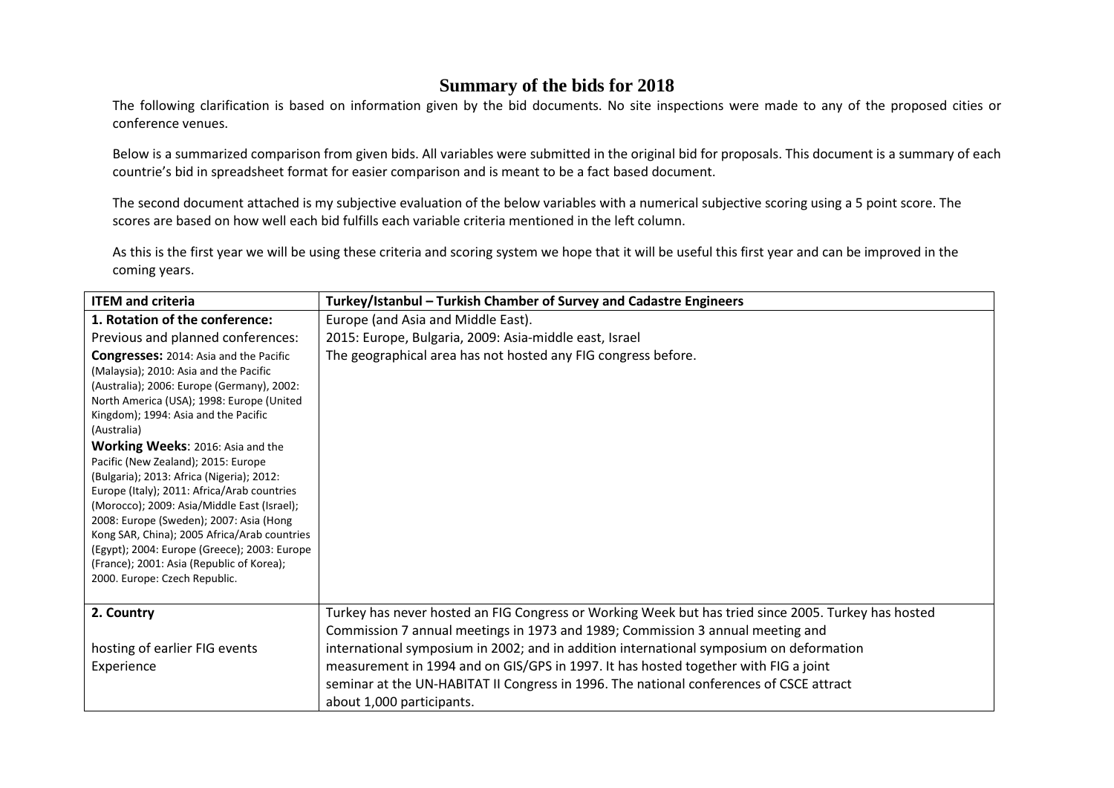## **Summary of the bids for 2018**

 The following clarification is based on information given by the bid documents. No site inspections were made to any of the proposed cities or conference venues.

Below is a summarized comparison from given bids. All variables were submitted in the original bid for proposals. This document is a summary of each countrie's bid in spreadsheet format for easier comparison and is meant to be a fact based document.

The second document attached is my subjective evaluation of the below variables with a numerical subjective scoring using a 5 point score. The scores are based on how well each bid fulfills each variable criteria mentioned in the left column.

As this is the first year we will be using these criteria and scoring system we hope that it will be useful this first year and can be improved in the coming years.

| <b>ITEM and criteria</b>                                                                                                                                                                                                                                                                                                                                                                                                                                                                                                                                                                                                                                                                  | Turkey/Istanbul - Turkish Chamber of Survey and Cadastre Engineers                                                                                                                    |
|-------------------------------------------------------------------------------------------------------------------------------------------------------------------------------------------------------------------------------------------------------------------------------------------------------------------------------------------------------------------------------------------------------------------------------------------------------------------------------------------------------------------------------------------------------------------------------------------------------------------------------------------------------------------------------------------|---------------------------------------------------------------------------------------------------------------------------------------------------------------------------------------|
| 1. Rotation of the conference:                                                                                                                                                                                                                                                                                                                                                                                                                                                                                                                                                                                                                                                            | Europe (and Asia and Middle East).                                                                                                                                                    |
| Previous and planned conferences:                                                                                                                                                                                                                                                                                                                                                                                                                                                                                                                                                                                                                                                         | 2015: Europe, Bulgaria, 2009: Asia-middle east, Israel                                                                                                                                |
| <b>Congresses: 2014: Asia and the Pacific</b><br>(Malaysia); 2010: Asia and the Pacific<br>(Australia); 2006: Europe (Germany), 2002:<br>North America (USA); 1998: Europe (United<br>Kingdom); 1994: Asia and the Pacific<br>(Australia)<br>Working Weeks: 2016: Asia and the<br>Pacific (New Zealand); 2015: Europe<br>(Bulgaria); 2013: Africa (Nigeria); 2012:<br>Europe (Italy); 2011: Africa/Arab countries<br>(Morocco); 2009: Asia/Middle East (Israel);<br>2008: Europe (Sweden); 2007: Asia (Hong<br>Kong SAR, China); 2005 Africa/Arab countries<br>(Egypt); 2004: Europe (Greece); 2003: Europe<br>(France); 2001: Asia (Republic of Korea);<br>2000. Europe: Czech Republic. | The geographical area has not hosted any FIG congress before.                                                                                                                         |
| 2. Country                                                                                                                                                                                                                                                                                                                                                                                                                                                                                                                                                                                                                                                                                | Turkey has never hosted an FIG Congress or Working Week but has tried since 2005. Turkey has hosted<br>Commission 7 annual meetings in 1973 and 1989; Commission 3 annual meeting and |
| hosting of earlier FIG events                                                                                                                                                                                                                                                                                                                                                                                                                                                                                                                                                                                                                                                             | international symposium in 2002; and in addition international symposium on deformation                                                                                               |
| Experience                                                                                                                                                                                                                                                                                                                                                                                                                                                                                                                                                                                                                                                                                | measurement in 1994 and on GIS/GPS in 1997. It has hosted together with FIG a joint                                                                                                   |
|                                                                                                                                                                                                                                                                                                                                                                                                                                                                                                                                                                                                                                                                                           | seminar at the UN-HABITAT II Congress in 1996. The national conferences of CSCE attract                                                                                               |
|                                                                                                                                                                                                                                                                                                                                                                                                                                                                                                                                                                                                                                                                                           | about 1,000 participants.                                                                                                                                                             |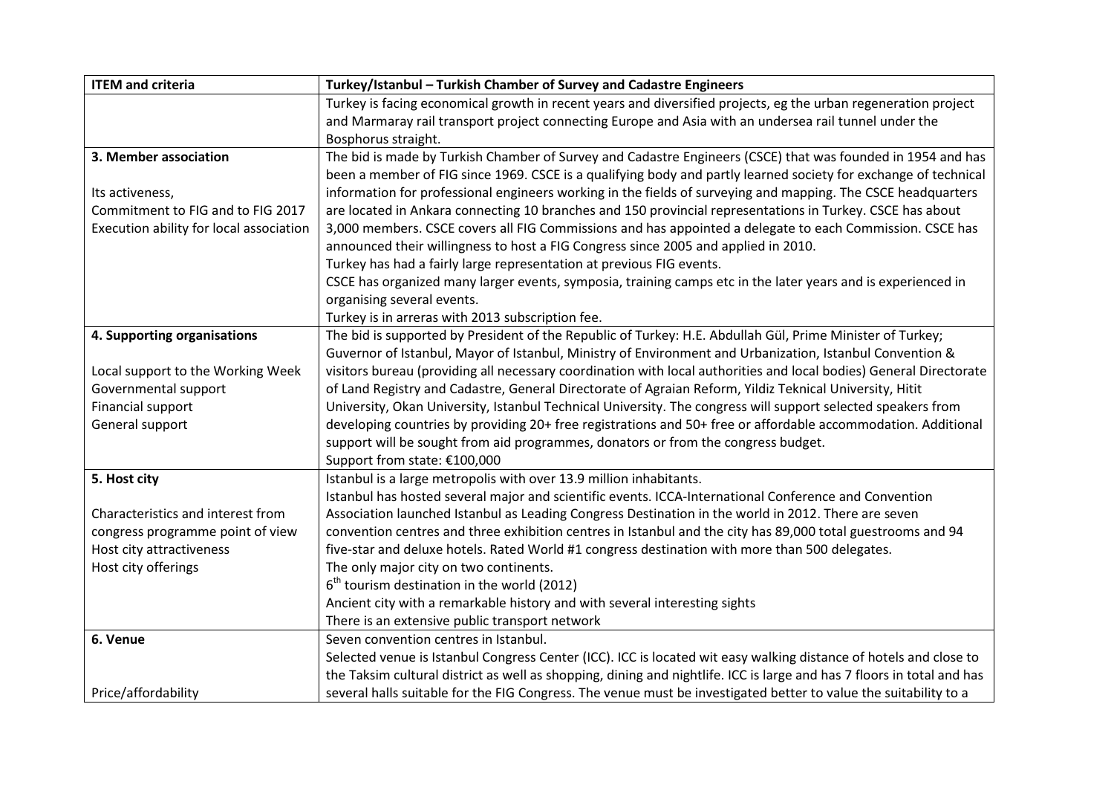| Turkey is facing economical growth in recent years and diversified projects, eg the urban regeneration project<br>and Marmaray rail transport project connecting Europe and Asia with an undersea rail tunnel under the<br>Bosphorus straight.<br>The bid is made by Turkish Chamber of Survey and Cadastre Engineers (CSCE) that was founded in 1954 and has<br>3. Member association<br>been a member of FIG since 1969. CSCE is a qualifying body and partly learned society for exchange of technical<br>information for professional engineers working in the fields of surveying and mapping. The CSCE headquarters<br>Its activeness,<br>Commitment to FIG and to FIG 2017<br>are located in Ankara connecting 10 branches and 150 provincial representations in Turkey. CSCE has about |
|------------------------------------------------------------------------------------------------------------------------------------------------------------------------------------------------------------------------------------------------------------------------------------------------------------------------------------------------------------------------------------------------------------------------------------------------------------------------------------------------------------------------------------------------------------------------------------------------------------------------------------------------------------------------------------------------------------------------------------------------------------------------------------------------|
|                                                                                                                                                                                                                                                                                                                                                                                                                                                                                                                                                                                                                                                                                                                                                                                                |
|                                                                                                                                                                                                                                                                                                                                                                                                                                                                                                                                                                                                                                                                                                                                                                                                |
|                                                                                                                                                                                                                                                                                                                                                                                                                                                                                                                                                                                                                                                                                                                                                                                                |
|                                                                                                                                                                                                                                                                                                                                                                                                                                                                                                                                                                                                                                                                                                                                                                                                |
|                                                                                                                                                                                                                                                                                                                                                                                                                                                                                                                                                                                                                                                                                                                                                                                                |
|                                                                                                                                                                                                                                                                                                                                                                                                                                                                                                                                                                                                                                                                                                                                                                                                |
|                                                                                                                                                                                                                                                                                                                                                                                                                                                                                                                                                                                                                                                                                                                                                                                                |
| Execution ability for local association<br>3,000 members. CSCE covers all FIG Commissions and has appointed a delegate to each Commission. CSCE has                                                                                                                                                                                                                                                                                                                                                                                                                                                                                                                                                                                                                                            |
| announced their willingness to host a FIG Congress since 2005 and applied in 2010.                                                                                                                                                                                                                                                                                                                                                                                                                                                                                                                                                                                                                                                                                                             |
| Turkey has had a fairly large representation at previous FIG events.                                                                                                                                                                                                                                                                                                                                                                                                                                                                                                                                                                                                                                                                                                                           |
| CSCE has organized many larger events, symposia, training camps etc in the later years and is experienced in                                                                                                                                                                                                                                                                                                                                                                                                                                                                                                                                                                                                                                                                                   |
| organising several events.                                                                                                                                                                                                                                                                                                                                                                                                                                                                                                                                                                                                                                                                                                                                                                     |
| Turkey is in arreras with 2013 subscription fee.                                                                                                                                                                                                                                                                                                                                                                                                                                                                                                                                                                                                                                                                                                                                               |
| The bid is supported by President of the Republic of Turkey: H.E. Abdullah Gül, Prime Minister of Turkey;<br>4. Supporting organisations                                                                                                                                                                                                                                                                                                                                                                                                                                                                                                                                                                                                                                                       |
| Guvernor of Istanbul, Mayor of Istanbul, Ministry of Environment and Urbanization, Istanbul Convention &                                                                                                                                                                                                                                                                                                                                                                                                                                                                                                                                                                                                                                                                                       |
| visitors bureau (providing all necessary coordination with local authorities and local bodies) General Directorate<br>Local support to the Working Week                                                                                                                                                                                                                                                                                                                                                                                                                                                                                                                                                                                                                                        |
| Governmental support<br>of Land Registry and Cadastre, General Directorate of Agraian Reform, Yildiz Teknical University, Hitit                                                                                                                                                                                                                                                                                                                                                                                                                                                                                                                                                                                                                                                                |
| Financial support<br>University, Okan University, Istanbul Technical University. The congress will support selected speakers from                                                                                                                                                                                                                                                                                                                                                                                                                                                                                                                                                                                                                                                              |
| developing countries by providing 20+ free registrations and 50+ free or affordable accommodation. Additional<br>General support                                                                                                                                                                                                                                                                                                                                                                                                                                                                                                                                                                                                                                                               |
| support will be sought from aid programmes, donators or from the congress budget.                                                                                                                                                                                                                                                                                                                                                                                                                                                                                                                                                                                                                                                                                                              |
| Support from state: €100,000                                                                                                                                                                                                                                                                                                                                                                                                                                                                                                                                                                                                                                                                                                                                                                   |
| Istanbul is a large metropolis with over 13.9 million inhabitants.<br>5. Host city                                                                                                                                                                                                                                                                                                                                                                                                                                                                                                                                                                                                                                                                                                             |
| Istanbul has hosted several major and scientific events. ICCA-International Conference and Convention                                                                                                                                                                                                                                                                                                                                                                                                                                                                                                                                                                                                                                                                                          |
| Characteristics and interest from<br>Association launched Istanbul as Leading Congress Destination in the world in 2012. There are seven                                                                                                                                                                                                                                                                                                                                                                                                                                                                                                                                                                                                                                                       |
| convention centres and three exhibition centres in Istanbul and the city has 89,000 total guestrooms and 94<br>congress programme point of view<br>Host city attractiveness<br>five-star and deluxe hotels. Rated World #1 congress destination with more than 500 delegates.                                                                                                                                                                                                                                                                                                                                                                                                                                                                                                                  |
| Host city offerings<br>The only major city on two continents.                                                                                                                                                                                                                                                                                                                                                                                                                                                                                                                                                                                                                                                                                                                                  |
| $6th$ tourism destination in the world (2012)                                                                                                                                                                                                                                                                                                                                                                                                                                                                                                                                                                                                                                                                                                                                                  |
| Ancient city with a remarkable history and with several interesting sights                                                                                                                                                                                                                                                                                                                                                                                                                                                                                                                                                                                                                                                                                                                     |
| There is an extensive public transport network                                                                                                                                                                                                                                                                                                                                                                                                                                                                                                                                                                                                                                                                                                                                                 |
| 6. Venue<br>Seven convention centres in Istanbul.                                                                                                                                                                                                                                                                                                                                                                                                                                                                                                                                                                                                                                                                                                                                              |
| Selected venue is Istanbul Congress Center (ICC). ICC is located wit easy walking distance of hotels and close to                                                                                                                                                                                                                                                                                                                                                                                                                                                                                                                                                                                                                                                                              |
| the Taksim cultural district as well as shopping, dining and nightlife. ICC is large and has 7 floors in total and has                                                                                                                                                                                                                                                                                                                                                                                                                                                                                                                                                                                                                                                                         |
| Price/affordability<br>several halls suitable for the FIG Congress. The venue must be investigated better to value the suitability to a                                                                                                                                                                                                                                                                                                                                                                                                                                                                                                                                                                                                                                                        |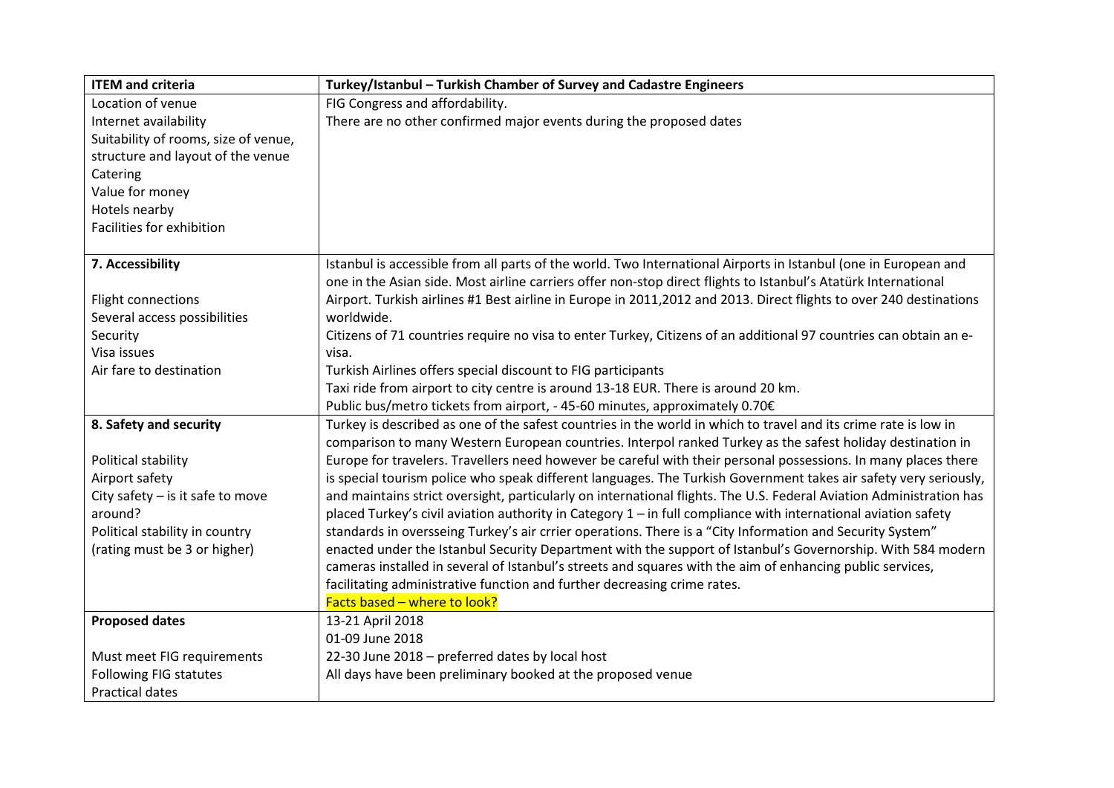| <b>ITEM and criteria</b>                           | Turkey/Istanbul - Turkish Chamber of Survey and Cadastre Engineers                                                                                                                                                                |
|----------------------------------------------------|-----------------------------------------------------------------------------------------------------------------------------------------------------------------------------------------------------------------------------------|
| Location of venue                                  | FIG Congress and affordability.                                                                                                                                                                                                   |
| Internet availability                              | There are no other confirmed major events during the proposed dates                                                                                                                                                               |
| Suitability of rooms, size of venue,               |                                                                                                                                                                                                                                   |
| structure and layout of the venue                  |                                                                                                                                                                                                                                   |
| Catering                                           |                                                                                                                                                                                                                                   |
| Value for money                                    |                                                                                                                                                                                                                                   |
| Hotels nearby                                      |                                                                                                                                                                                                                                   |
| Facilities for exhibition                          |                                                                                                                                                                                                                                   |
| 7. Accessibility                                   | Istanbul is accessible from all parts of the world. Two International Airports in Istanbul (one in European and<br>one in the Asian side. Most airline carriers offer non-stop direct flights to Istanbul's Atatürk International |
| Flight connections<br>Several access possibilities | Airport. Turkish airlines #1 Best airline in Europe in 2011,2012 and 2013. Direct flights to over 240 destinations<br>worldwide.                                                                                                  |
| Security                                           | Citizens of 71 countries require no visa to enter Turkey, Citizens of an additional 97 countries can obtain an e-                                                                                                                 |
| Visa issues                                        | visa.                                                                                                                                                                                                                             |
| Air fare to destination                            | Turkish Airlines offers special discount to FIG participants                                                                                                                                                                      |
|                                                    | Taxi ride from airport to city centre is around 13-18 EUR. There is around 20 km.                                                                                                                                                 |
|                                                    | Public bus/metro tickets from airport, - 45-60 minutes, approximately 0.70€                                                                                                                                                       |
| 8. Safety and security                             | Turkey is described as one of the safest countries in the world in which to travel and its crime rate is low in                                                                                                                   |
|                                                    | comparison to many Western European countries. Interpol ranked Turkey as the safest holiday destination in                                                                                                                        |
| Political stability                                | Europe for travelers. Travellers need however be careful with their personal possessions. In many places there                                                                                                                    |
| Airport safety                                     | is special tourism police who speak different languages. The Turkish Government takes air safety very seriously,                                                                                                                  |
| City safety $-$ is it safe to move                 | and maintains strict oversight, particularly on international flights. The U.S. Federal Aviation Administration has                                                                                                               |
| around?                                            | placed Turkey's civil aviation authority in Category 1 - in full compliance with international aviation safety                                                                                                                    |
| Political stability in country                     | standards in oversseing Turkey's air crrier operations. There is a "City Information and Security System"                                                                                                                         |
| (rating must be 3 or higher)                       | enacted under the Istanbul Security Department with the support of Istanbul's Governorship. With 584 modern                                                                                                                       |
|                                                    | cameras installed in several of Istanbul's streets and squares with the aim of enhancing public services,                                                                                                                         |
|                                                    | facilitating administrative function and further decreasing crime rates.                                                                                                                                                          |
|                                                    | Facts based - where to look?                                                                                                                                                                                                      |
| <b>Proposed dates</b>                              | 13-21 April 2018                                                                                                                                                                                                                  |
|                                                    | 01-09 June 2018                                                                                                                                                                                                                   |
| Must meet FIG requirements                         | 22-30 June 2018 - preferred dates by local host                                                                                                                                                                                   |
| <b>Following FIG statutes</b>                      | All days have been preliminary booked at the proposed venue                                                                                                                                                                       |
| <b>Practical dates</b>                             |                                                                                                                                                                                                                                   |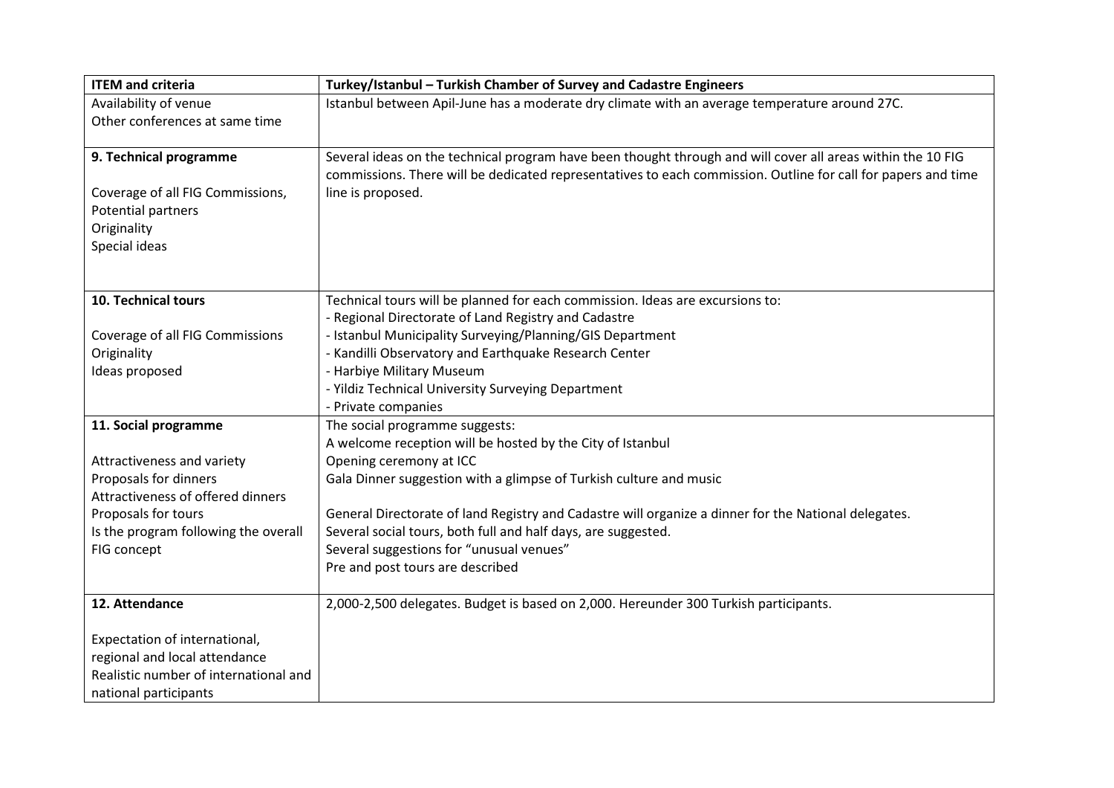| Istanbul between Apil-June has a moderate dry climate with an average temperature around 27C.<br>Availability of venue<br>Other conferences at same time<br>Several ideas on the technical program have been thought through and will cover all areas within the 10 FIG<br>9. Technical programme<br>commissions. There will be dedicated representatives to each commission. Outline for call for papers and time<br>Coverage of all FIG Commissions,<br>line is proposed.<br>Potential partners |
|---------------------------------------------------------------------------------------------------------------------------------------------------------------------------------------------------------------------------------------------------------------------------------------------------------------------------------------------------------------------------------------------------------------------------------------------------------------------------------------------------|
|                                                                                                                                                                                                                                                                                                                                                                                                                                                                                                   |
|                                                                                                                                                                                                                                                                                                                                                                                                                                                                                                   |
|                                                                                                                                                                                                                                                                                                                                                                                                                                                                                                   |
|                                                                                                                                                                                                                                                                                                                                                                                                                                                                                                   |
|                                                                                                                                                                                                                                                                                                                                                                                                                                                                                                   |
|                                                                                                                                                                                                                                                                                                                                                                                                                                                                                                   |
|                                                                                                                                                                                                                                                                                                                                                                                                                                                                                                   |
| Originality                                                                                                                                                                                                                                                                                                                                                                                                                                                                                       |
| Special ideas                                                                                                                                                                                                                                                                                                                                                                                                                                                                                     |
|                                                                                                                                                                                                                                                                                                                                                                                                                                                                                                   |
|                                                                                                                                                                                                                                                                                                                                                                                                                                                                                                   |
| 10. Technical tours<br>Technical tours will be planned for each commission. Ideas are excursions to:                                                                                                                                                                                                                                                                                                                                                                                              |
| - Regional Directorate of Land Registry and Cadastre                                                                                                                                                                                                                                                                                                                                                                                                                                              |
| - Istanbul Municipality Surveying/Planning/GIS Department<br>Coverage of all FIG Commissions                                                                                                                                                                                                                                                                                                                                                                                                      |
| - Kandilli Observatory and Earthquake Research Center<br>Originality                                                                                                                                                                                                                                                                                                                                                                                                                              |
| - Harbiye Military Museum<br>Ideas proposed                                                                                                                                                                                                                                                                                                                                                                                                                                                       |
| - Yildiz Technical University Surveying Department                                                                                                                                                                                                                                                                                                                                                                                                                                                |
| - Private companies                                                                                                                                                                                                                                                                                                                                                                                                                                                                               |
| 11. Social programme<br>The social programme suggests:                                                                                                                                                                                                                                                                                                                                                                                                                                            |
| A welcome reception will be hosted by the City of Istanbul                                                                                                                                                                                                                                                                                                                                                                                                                                        |
| Opening ceremony at ICC<br>Attractiveness and variety                                                                                                                                                                                                                                                                                                                                                                                                                                             |
| Proposals for dinners<br>Gala Dinner suggestion with a glimpse of Turkish culture and music                                                                                                                                                                                                                                                                                                                                                                                                       |
| Attractiveness of offered dinners                                                                                                                                                                                                                                                                                                                                                                                                                                                                 |
| Proposals for tours<br>General Directorate of land Registry and Cadastre will organize a dinner for the National delegates.                                                                                                                                                                                                                                                                                                                                                                       |
| Several social tours, both full and half days, are suggested.<br>Is the program following the overall                                                                                                                                                                                                                                                                                                                                                                                             |
| Several suggestions for "unusual venues"<br>FIG concept                                                                                                                                                                                                                                                                                                                                                                                                                                           |
| Pre and post tours are described                                                                                                                                                                                                                                                                                                                                                                                                                                                                  |
| 12. Attendance<br>2,000-2,500 delegates. Budget is based on 2,000. Hereunder 300 Turkish participants.                                                                                                                                                                                                                                                                                                                                                                                            |
|                                                                                                                                                                                                                                                                                                                                                                                                                                                                                                   |
| Expectation of international,                                                                                                                                                                                                                                                                                                                                                                                                                                                                     |
| regional and local attendance                                                                                                                                                                                                                                                                                                                                                                                                                                                                     |
| Realistic number of international and                                                                                                                                                                                                                                                                                                                                                                                                                                                             |
| national participants                                                                                                                                                                                                                                                                                                                                                                                                                                                                             |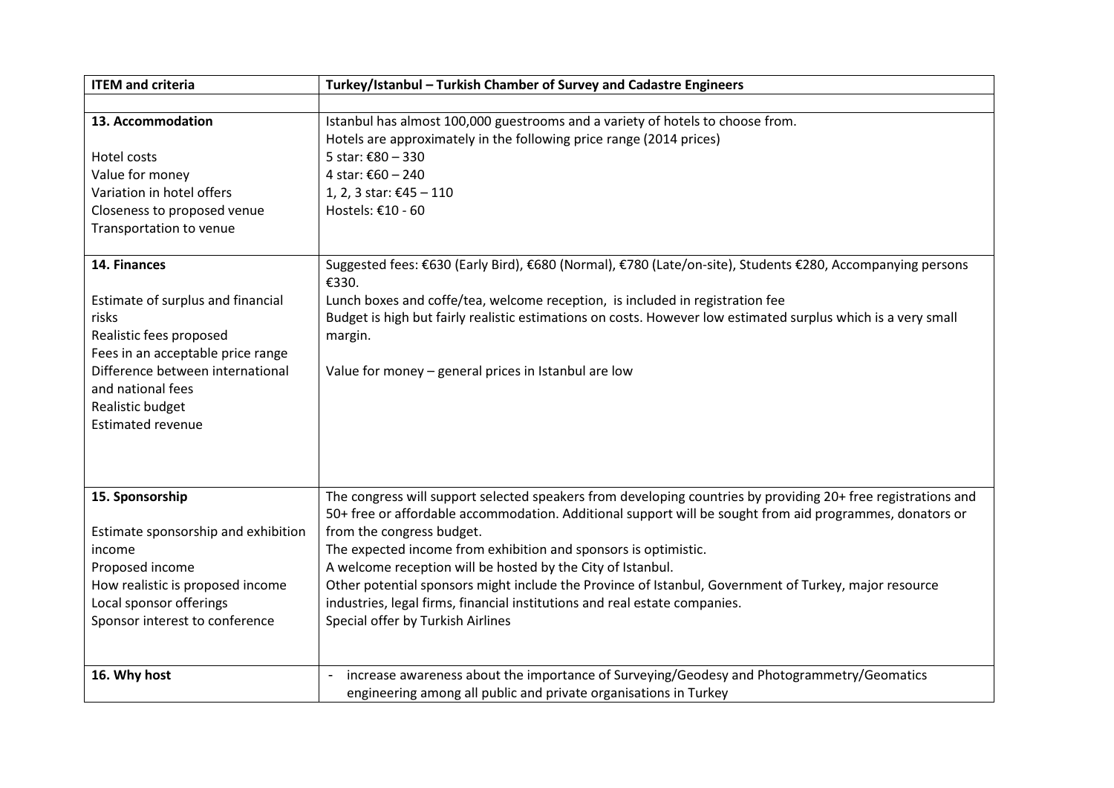| <b>ITEM and criteria</b>            | Turkey/Istanbul - Turkish Chamber of Survey and Cadastre Engineers                                                  |
|-------------------------------------|---------------------------------------------------------------------------------------------------------------------|
|                                     |                                                                                                                     |
| 13. Accommodation                   | Istanbul has almost 100,000 guestrooms and a variety of hotels to choose from.                                      |
|                                     | Hotels are approximately in the following price range (2014 prices)                                                 |
| Hotel costs                         | 5 star: €80 - 330                                                                                                   |
| Value for money                     | 4 star: $€60 - 240$                                                                                                 |
| Variation in hotel offers           | 1, 2, 3 star: €45 - 110                                                                                             |
| Closeness to proposed venue         | Hostels: €10 - 60                                                                                                   |
| Transportation to venue             |                                                                                                                     |
| 14. Finances                        | Suggested fees: €630 (Early Bird), €680 (Normal), €780 (Late/on-site), Students €280, Accompanying persons<br>€330. |
| Estimate of surplus and financial   | Lunch boxes and coffe/tea, welcome reception, is included in registration fee                                       |
| risks                               | Budget is high but fairly realistic estimations on costs. However low estimated surplus which is a very small       |
| Realistic fees proposed             | margin.                                                                                                             |
| Fees in an acceptable price range   |                                                                                                                     |
| Difference between international    | Value for money - general prices in Istanbul are low                                                                |
| and national fees                   |                                                                                                                     |
| Realistic budget                    |                                                                                                                     |
| <b>Estimated revenue</b>            |                                                                                                                     |
|                                     |                                                                                                                     |
|                                     |                                                                                                                     |
| 15. Sponsorship                     | The congress will support selected speakers from developing countries by providing 20+ free registrations and       |
|                                     | 50+ free or affordable accommodation. Additional support will be sought from aid programmes, donators or            |
| Estimate sponsorship and exhibition | from the congress budget.                                                                                           |
| income                              | The expected income from exhibition and sponsors is optimistic.                                                     |
| Proposed income                     | A welcome reception will be hosted by the City of Istanbul.                                                         |
| How realistic is proposed income    | Other potential sponsors might include the Province of Istanbul, Government of Turkey, major resource               |
| Local sponsor offerings             | industries, legal firms, financial institutions and real estate companies.                                          |
| Sponsor interest to conference      | Special offer by Turkish Airlines                                                                                   |
|                                     |                                                                                                                     |
| 16. Why host                        | increase awareness about the importance of Surveying/Geodesy and Photogrammetry/Geomatics<br>$\blacksquare$         |
|                                     | engineering among all public and private organisations in Turkey                                                    |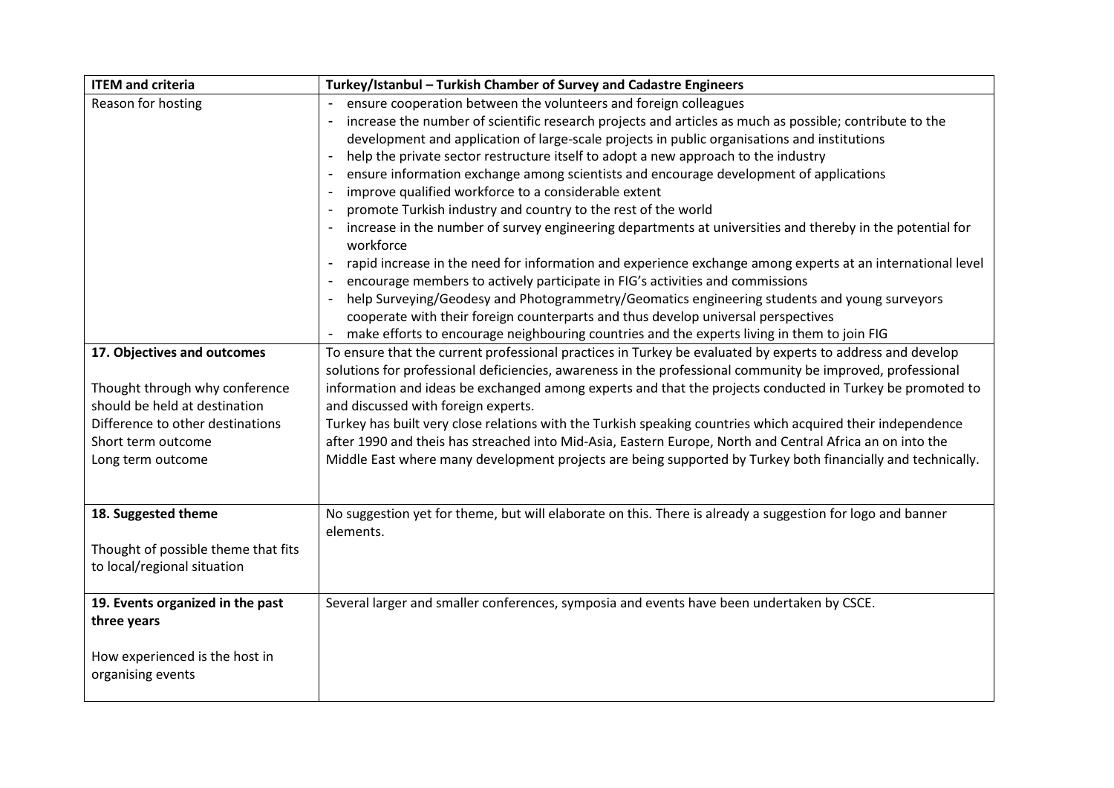| <b>ITEM and criteria</b>                                                                                                                       | Turkey/Istanbul - Turkish Chamber of Survey and Cadastre Engineers                                                                                                                                                                                                                                                                                                                                                                                                                                                                                                                                                                                                                                                                                                                                                                                                                                                                                                                                                                                                                                                                                                                                |
|------------------------------------------------------------------------------------------------------------------------------------------------|---------------------------------------------------------------------------------------------------------------------------------------------------------------------------------------------------------------------------------------------------------------------------------------------------------------------------------------------------------------------------------------------------------------------------------------------------------------------------------------------------------------------------------------------------------------------------------------------------------------------------------------------------------------------------------------------------------------------------------------------------------------------------------------------------------------------------------------------------------------------------------------------------------------------------------------------------------------------------------------------------------------------------------------------------------------------------------------------------------------------------------------------------------------------------------------------------|
| Reason for hosting                                                                                                                             | ensure cooperation between the volunteers and foreign colleagues<br>increase the number of scientific research projects and articles as much as possible; contribute to the<br>development and application of large-scale projects in public organisations and institutions<br>help the private sector restructure itself to adopt a new approach to the industry<br>ensure information exchange among scientists and encourage development of applications<br>improve qualified workforce to a considerable extent<br>promote Turkish industry and country to the rest of the world<br>increase in the number of survey engineering departments at universities and thereby in the potential for<br>workforce<br>rapid increase in the need for information and experience exchange among experts at an international level<br>encourage members to actively participate in FIG's activities and commissions<br>help Surveying/Geodesy and Photogrammetry/Geomatics engineering students and young surveyors<br>cooperate with their foreign counterparts and thus develop universal perspectives<br>make efforts to encourage neighbouring countries and the experts living in them to join FIG |
| 17. Objectives and outcomes                                                                                                                    | To ensure that the current professional practices in Turkey be evaluated by experts to address and develop                                                                                                                                                                                                                                                                                                                                                                                                                                                                                                                                                                                                                                                                                                                                                                                                                                                                                                                                                                                                                                                                                        |
| Thought through why conference<br>should be held at destination<br>Difference to other destinations<br>Short term outcome<br>Long term outcome | solutions for professional deficiencies, awareness in the professional community be improved, professional<br>information and ideas be exchanged among experts and that the projects conducted in Turkey be promoted to<br>and discussed with foreign experts.<br>Turkey has built very close relations with the Turkish speaking countries which acquired their independence<br>after 1990 and theis has streached into Mid-Asia, Eastern Europe, North and Central Africa an on into the<br>Middle East where many development projects are being supported by Turkey both financially and technically.                                                                                                                                                                                                                                                                                                                                                                                                                                                                                                                                                                                         |
| 18. Suggested theme<br>Thought of possible theme that fits<br>to local/regional situation                                                      | No suggestion yet for theme, but will elaborate on this. There is already a suggestion for logo and banner<br>elements.                                                                                                                                                                                                                                                                                                                                                                                                                                                                                                                                                                                                                                                                                                                                                                                                                                                                                                                                                                                                                                                                           |
| 19. Events organized in the past<br>three years                                                                                                | Several larger and smaller conferences, symposia and events have been undertaken by CSCE.                                                                                                                                                                                                                                                                                                                                                                                                                                                                                                                                                                                                                                                                                                                                                                                                                                                                                                                                                                                                                                                                                                         |
| How experienced is the host in<br>organising events                                                                                            |                                                                                                                                                                                                                                                                                                                                                                                                                                                                                                                                                                                                                                                                                                                                                                                                                                                                                                                                                                                                                                                                                                                                                                                                   |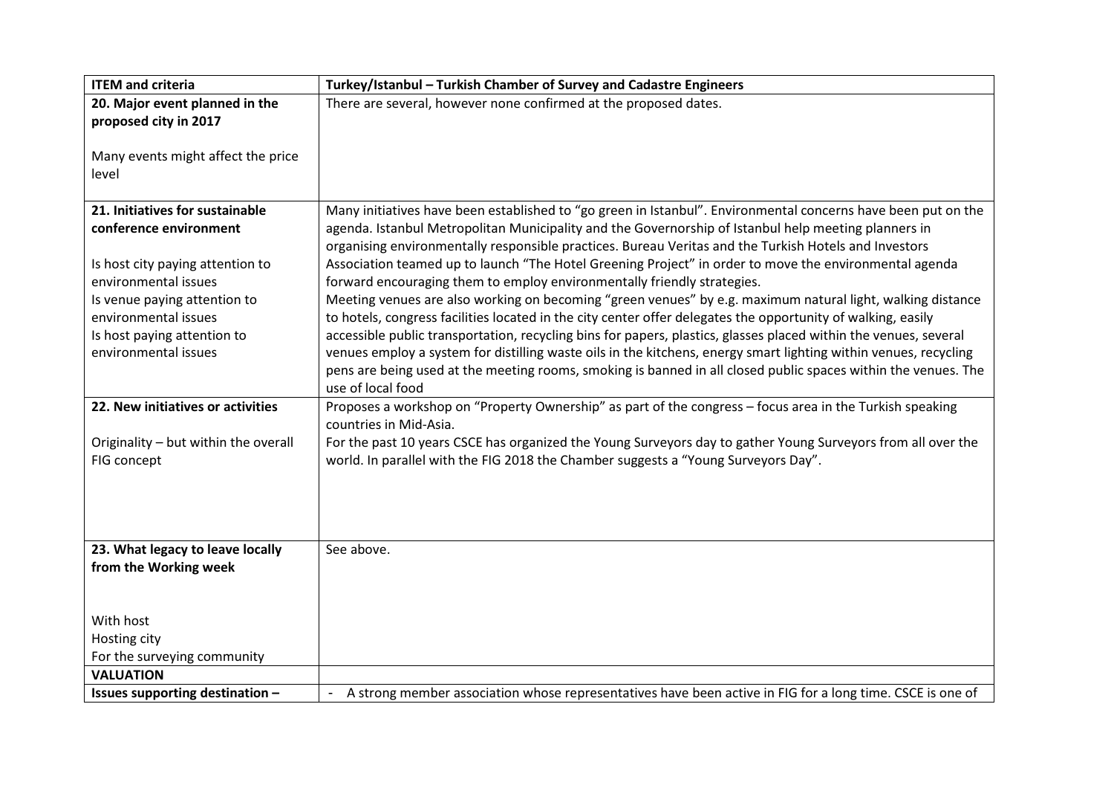| <b>ITEM and criteria</b>                             | Turkey/Istanbul - Turkish Chamber of Survey and Cadastre Engineers                                                                                                                                                         |
|------------------------------------------------------|----------------------------------------------------------------------------------------------------------------------------------------------------------------------------------------------------------------------------|
| 20. Major event planned in the                       | There are several, however none confirmed at the proposed dates.                                                                                                                                                           |
| proposed city in 2017                                |                                                                                                                                                                                                                            |
|                                                      |                                                                                                                                                                                                                            |
| Many events might affect the price                   |                                                                                                                                                                                                                            |
| level                                                |                                                                                                                                                                                                                            |
|                                                      |                                                                                                                                                                                                                            |
| 21. Initiatives for sustainable                      | Many initiatives have been established to "go green in Istanbul". Environmental concerns have been put on the                                                                                                              |
| conference environment                               | agenda. Istanbul Metropolitan Municipality and the Governorship of Istanbul help meeting planners in                                                                                                                       |
|                                                      | organising environmentally responsible practices. Bureau Veritas and the Turkish Hotels and Investors                                                                                                                      |
| Is host city paying attention to                     | Association teamed up to launch "The Hotel Greening Project" in order to move the environmental agenda                                                                                                                     |
| environmental issues                                 | forward encouraging them to employ environmentally friendly strategies.                                                                                                                                                    |
| Is venue paying attention to<br>environmental issues | Meeting venues are also working on becoming "green venues" by e.g. maximum natural light, walking distance<br>to hotels, congress facilities located in the city center offer delegates the opportunity of walking, easily |
| Is host paying attention to                          | accessible public transportation, recycling bins for papers, plastics, glasses placed within the venues, several                                                                                                           |
| environmental issues                                 | venues employ a system for distilling waste oils in the kitchens, energy smart lighting within venues, recycling                                                                                                           |
|                                                      | pens are being used at the meeting rooms, smoking is banned in all closed public spaces within the venues. The                                                                                                             |
|                                                      | use of local food                                                                                                                                                                                                          |
| 22. New initiatives or activities                    | Proposes a workshop on "Property Ownership" as part of the congress - focus area in the Turkish speaking                                                                                                                   |
|                                                      | countries in Mid-Asia.                                                                                                                                                                                                     |
| Originality - but within the overall                 | For the past 10 years CSCE has organized the Young Surveyors day to gather Young Surveyors from all over the                                                                                                               |
| FIG concept                                          | world. In parallel with the FIG 2018 the Chamber suggests a "Young Surveyors Day".                                                                                                                                         |
|                                                      |                                                                                                                                                                                                                            |
|                                                      |                                                                                                                                                                                                                            |
|                                                      |                                                                                                                                                                                                                            |
|                                                      |                                                                                                                                                                                                                            |
| 23. What legacy to leave locally                     | See above.                                                                                                                                                                                                                 |
| from the Working week                                |                                                                                                                                                                                                                            |
|                                                      |                                                                                                                                                                                                                            |
|                                                      |                                                                                                                                                                                                                            |
| With host                                            |                                                                                                                                                                                                                            |
| Hosting city                                         |                                                                                                                                                                                                                            |
| For the surveying community                          |                                                                                                                                                                                                                            |
| <b>VALUATION</b>                                     |                                                                                                                                                                                                                            |
| Issues supporting destination -                      | - A strong member association whose representatives have been active in FIG for a long time. CSCE is one of                                                                                                                |